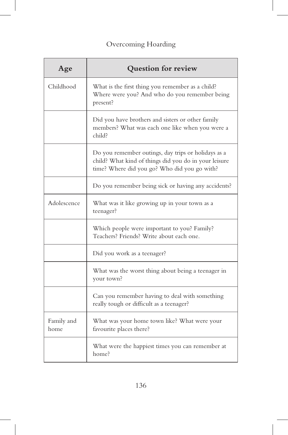## Overcoming Hoarding

| Age                | Question for review                                                                                                                                          |
|--------------------|--------------------------------------------------------------------------------------------------------------------------------------------------------------|
| Childhood          | What is the first thing you remember as a child?<br>Where were you? And who do you remember being<br>present?                                                |
|                    | Did you have brothers and sisters or other family<br>members? What was each one like when you were a<br>child?                                               |
|                    | Do you remember outings, day trips or holidays as a<br>child? What kind of things did you do in your leisure<br>time? Where did you go? Who did you go with? |
|                    | Do you remember being sick or having any accidents?                                                                                                          |
| Adolescence        | What was it like growing up in your town as a<br>teenager?                                                                                                   |
|                    | Which people were important to you? Family?<br>Teachers? Friends? Write about each one.                                                                      |
|                    | Did you work as a teenager?                                                                                                                                  |
|                    | What was the worst thing about being a teenager in<br>your town?                                                                                             |
|                    | Can you remember having to deal with something<br>really tough or difficult as a teenager?                                                                   |
| Family and<br>home | What was your home town like? What were your<br>favourite places there?                                                                                      |
|                    | What were the happiest times you can remember at<br>home?                                                                                                    |